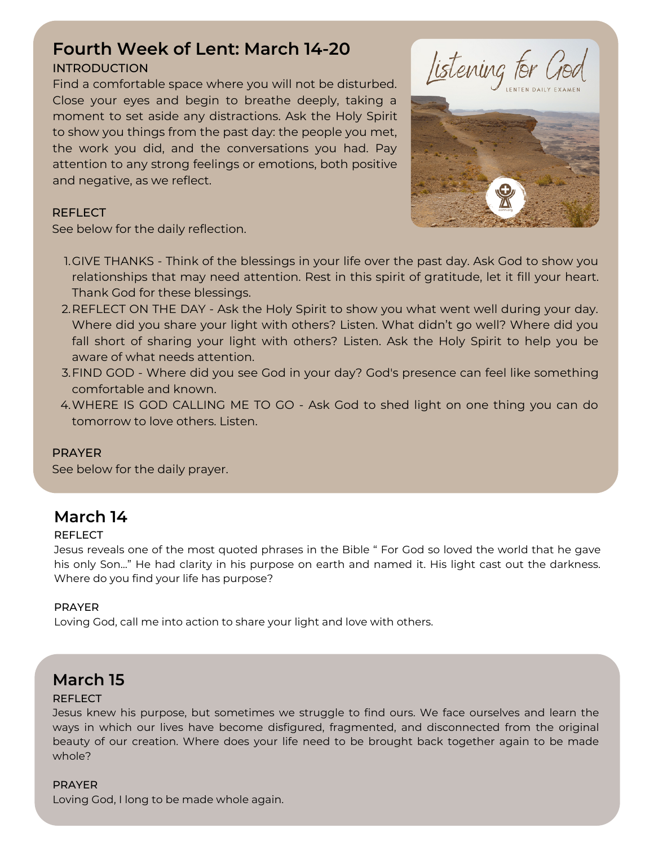# **Fourth Week of Lent: March 14-20**

### INTRODUCTION

Find a comfortable space where you will not be disturbed. Close your eyes and begin to breathe deeply, taking a moment to set aside any distractions. Ask the Holy Spirit to show you things from the past day: the people you met, the work you did, and the conversations you had. Pay attention to any strong feelings or emotions, both positive and negative, as we reflect.





### **REFLECT**

See below for the daily reflection.

- 1.GIVE THANKS Think of the blessings in your life over the past day. Ask God to show you relationships that may need attention. Rest in this spirit of gratitude, let it fill your heart. Thank God for these blessings.
- 2.REFLECT ON THE DAY Ask the Holy Spirit to show you what went well during your day. Where did you share your light with others? Listen. What didn't go well? Where did you fall short of sharing your light with others? Listen. Ask the Holy Spirit to help you be aware of what needs attention.
- FIND GOD Where did you see God in your day? God's presence can feel like something 3. comfortable and known.
- WHERE IS GOD CALLING ME TO GO Ask God to shed light on one thing you can do 4. tomorrow to love others. Listen.

### PRAYER

See below for the daily prayer.

# **March 14**

### **REFLECT**

Jesus reveals one of the most quoted phrases in the Bible " For God so loved the world that he gave his only Son..." He had clarity in his purpose on earth and named it. His light cast out the darkness. Where do you find your life has purpose?

### PRAYER

Loving God, call me into action to share your light and love with others.

### **March 15**

### **REFLECT**

Jesus knew his purpose, but sometimes we struggle to find ours. We face ourselves and learn the ways in which our lives have become disfigured, fragmented, and disconnected from the original beauty of our creation. Where does your life need to be brought back together again to be made whole?

### PRAYER

Loving God, I long to be made whole again.